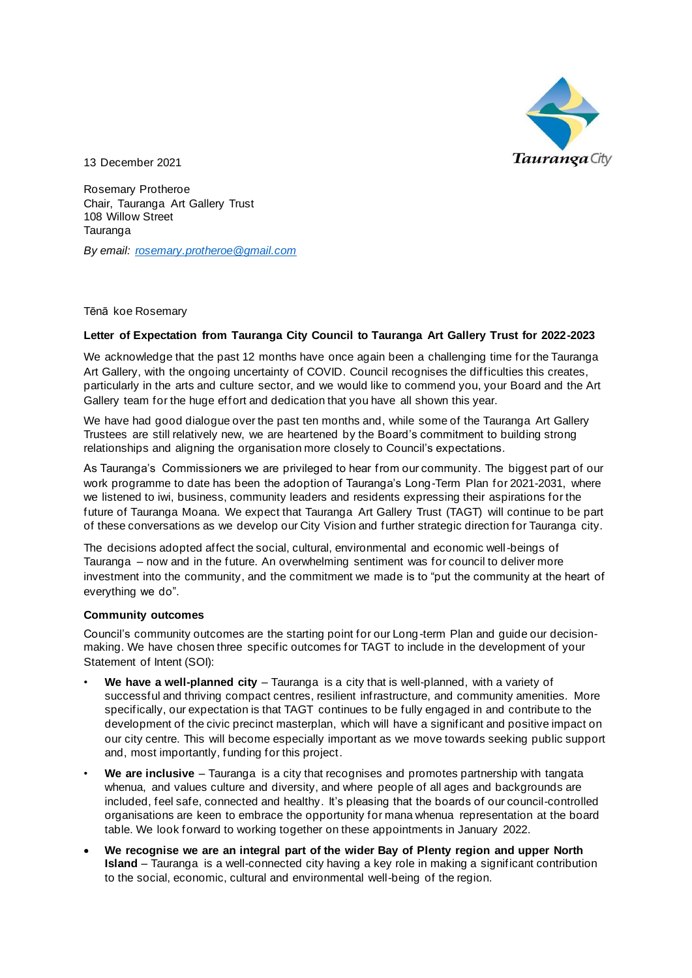

13 December 2021

Rosemary Protheroe Chair, Tauranga Art Gallery Trust 108 Willow Street Tauranga

*By email: [rosemary.protheroe@gmail.com](mailto:rosemary.protheroe@gmail.com)*

Tēnā koe Rosemary

### **Letter of Expectation from Tauranga City Council to Tauranga Art Gallery Trust for 2022-2023**

We acknowledge that the past 12 months have once again been a challenging time for the Tauranga Art Gallery, with the ongoing uncertainty of COVID. Council recognises the difficulties this creates, particularly in the arts and culture sector, and we would like to commend you, your Board and the Art Gallery team for the huge effort and dedication that you have all shown this year.

We have had good dialogue over the past ten months and, while some of the Tauranga Art Gallery Trustees are still relatively new, we are heartened by the Board's commitment to building strong relationships and aligning the organisation more closely to Council's expectations.

As Tauranga's Commissioners we are privileged to hear from our community. The biggest part of our work programme to date has been the adoption of Tauranga's Long-Term Plan for 2021-2031, where we listened to iwi, business, community leaders and residents expressing their aspirations for the future of Tauranga Moana. We expect that Tauranga Art Gallery Trust (TAGT) will continue to be part of these conversations as we develop our City Vision and further strategic direction for Tauranga city.

The decisions adopted affect the social, cultural, environmental and economic well-beings of Tauranga – now and in the future. An overwhelming sentiment was for council to deliver more investment into the community, and the commitment we made is to "put the community at the heart of everything we do".

#### **Community outcomes**

Council's community outcomes are the starting point for our Long-term Plan and guide our decisionmaking. We have chosen three specific outcomes for TAGT to include in the development of your Statement of Intent (SOI):

- **We have a well-planned city**  Tauranga is a city that is well-planned, with a variety of successful and thriving compact centres, resilient infrastructure, and community amenities. More specifically, our expectation is that TAGT continues to be fully engaged in and contribute to the development of the civic precinct masterplan, which will have a significant and positive impact on our city centre. This will become especially important as we move towards seeking public support and, most importantly, funding for this project.
- **We are inclusive** Tauranga is a city that recognises and promotes partnership with tangata whenua, and values culture and diversity, and where people of all ages and backgrounds are included, feel safe, connected and healthy. It's pleasing that the boards of our council-controlled organisations are keen to embrace the opportunity for mana whenua representation at the board table. We look forward to working together on these appointments in January 2022.
- **We recognise we are an integral part of the wider Bay of Plenty region and upper North Island** – Tauranga is a well-connected city having a key role in making a significant contribution to the social, economic, cultural and environmental well-being of the region.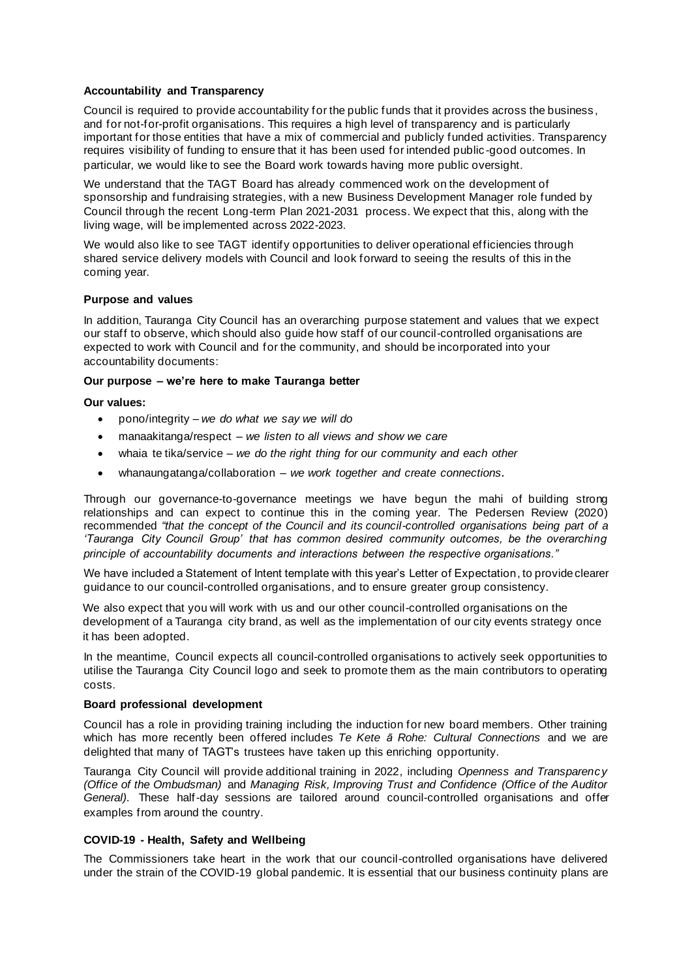### **Accountability and Transparency**

Council is required to provide accountability for the public funds that it provides across the business , and for not-for-profit organisations. This requires a high level of transparency and is particularly important for those entities that have a mix of commercial and publicly funded activities. Transparency requires visibility of funding to ensure that it has been used for intended public -good outcomes. In particular, we would like to see the Board work towards having more public oversight.

We understand that the TAGT Board has already commenced work on the development of sponsorship and fundraising strategies, with a new Business Development Manager role funded by Council through the recent Long-term Plan 2021-2031 process. We expect that this, along with the living wage, will be implemented across 2022-2023.

We would also like to see TAGT identify opportunities to deliver operational efficiencies through shared service delivery models with Council and look forward to seeing the results of this in the coming year.

#### **Purpose and values**

In addition, Tauranga City Council has an overarching purpose statement and values that we expect our staff to observe, which should also guide how staff of our council-controlled organisations are expected to work with Council and for the community, and should be incorporated into your accountability documents:

### **Our purpose – we're here to make Tauranga better**

**Our values:**

- pono/integrity *– we do what we say we will do*
- manaakitanga/respect *we listen to all views and show we care*
- whaia te tika/service *we do the right thing for our community and each other*
- whanaungatanga/collaboration *– we work together and create connections.*

Through our governance-to-governance meetings we have begun the mahi of building strong relationships and can expect to continue this in the coming year. The Pedersen Review (2020) recommended *"that the concept of the Council and its council-controlled organisations being part of a 'Tauranga City Council Group' that has common desired community outcomes, be the overarching principle of accountability documents and interactions between the respective organisations."*

We have included a Statement of Intent template with this year's Letter of Expectation, to provide clearer guidance to our council-controlled organisations, and to ensure greater group consistency.

We also expect that you will work with us and our other council-controlled organisations on the development of a Tauranga city brand, as well as the implementation of our city events strategy once it has been adopted.

In the meantime, Council expects all council-controlled organisations to actively seek opportunities to utilise the Tauranga City Council logo and seek to promote them as the main contributors to operating costs.

## **Board professional development**

Council has a role in providing training including the induction for new board members. Other training which has more recently been offered includes *Te Kete ā Rohe: Cultural Connections* and we are delighted that many of TAGT's trustees have taken up this enriching opportunity.

Tauranga City Council will provide additional training in 2022, including *Openness and Transparency (Office of the Ombudsman)* and *Managing Risk, Improving Trust and Confidence (Office of the Auditor General)*. These half-day sessions are tailored around council-controlled organisations and offer examples from around the country.

# **COVID-19 - Health, Safety and Wellbeing**

The Commissioners take heart in the work that our council-controlled organisations have delivered under the strain of the COVID-19 global pandemic. It is essential that our business continuity plans are